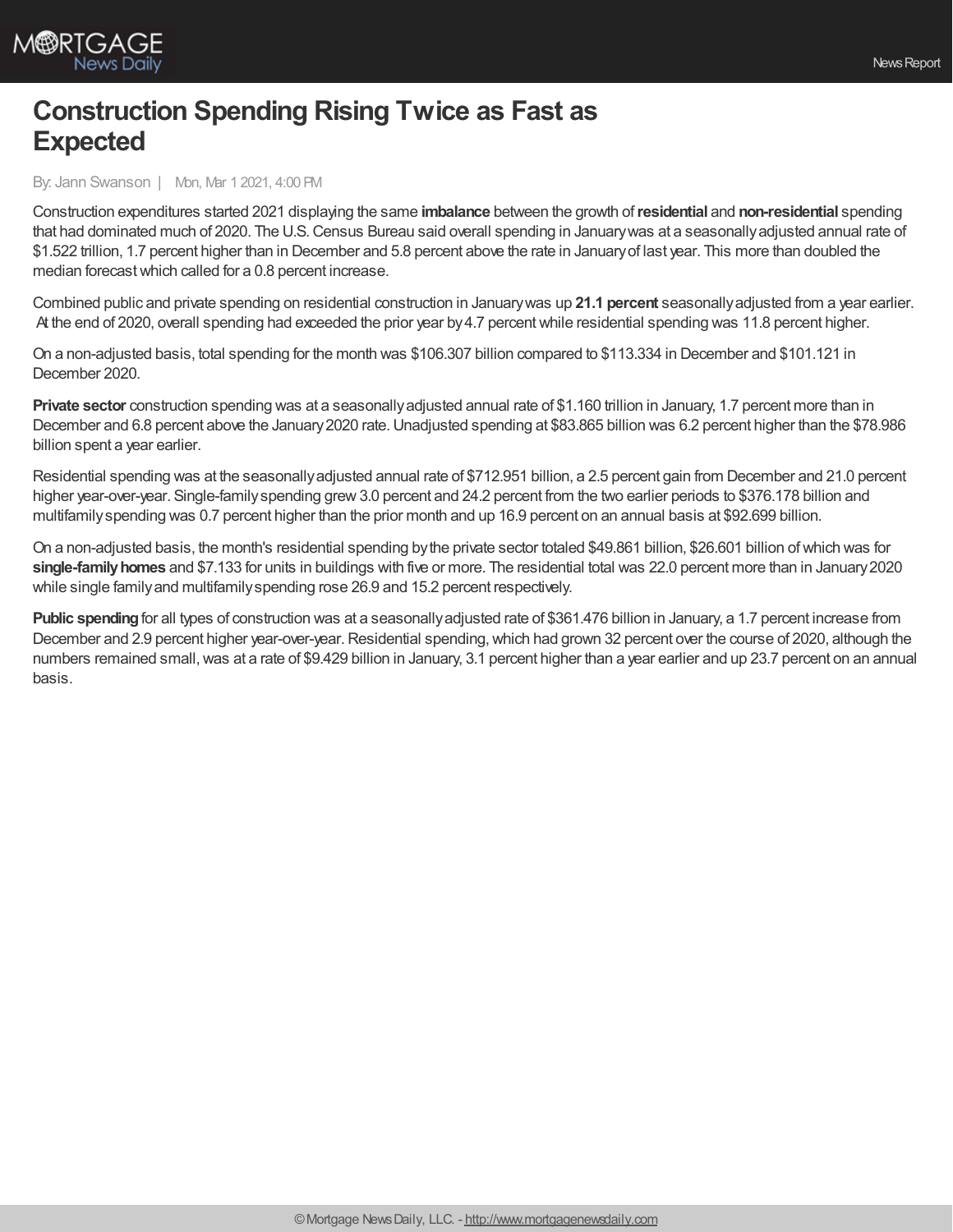

## **Construction Spending Rising Twice as Fast as Expected**

By: Jann Swanson | Mon, Mar 1 2021, 4:00 PM

Construction expenditures started 2021 displaying the same **imbalance** between the growth of**residential** and **non-residential** spending that had dominated much of 2020. The U.S.Census Bureau said overall spending in Januarywas at a seasonallyadjusted annual rate of \$1.522 trillion, 1.7 percent higher than in December and 5.8 percent above the rate in Januaryof last year. This more than doubled the median forecastwhich called for a 0.8 percent increase.

Combined public and private spending on residential construction in Januarywas up **21.1 percent** seasonallyadjusted from a year earlier. At the end of 2020, overall spending had exceeded the prior year by4.7 percentwhile residential spending was 11.8 percent higher.

On a non-adjusted basis, total spending for the month was \$106.307 billion compared to \$113.334 in December and \$101.121 in December 2020.

**Private sector** construction spending was at a seasonally adjusted annual rate of \$1.160 trillion in January, 1.7 percent more than in December and 6.8 percent above the January2020 rate.Unadjusted spending at \$83.865 billion was 6.2 percent higher than the \$78.986 billion spent a year earlier.

Residential spending was at the seasonallyadjusted annual rate of \$712.951 billion, a 2.5 percent gain from December and 21.0 percent higher year-over-year. Single-family spending grew 3.0 percent and 24.2 percent from the two earlier periods to \$376.178 billion and multifamilyspending was 0.7 percent higher than the prior month and up 16.9 percent on an annual basis at \$92.699 billion.

On a non-adjusted basis, the month's residential spending bythe private sector totaled \$49.861 billion, \$26.601 billion ofwhich was for **single-familyhomes** and \$7.133 for units in buildings with five or more. The residential total was 22.0 percent more than in January2020 while single family and multifamily spending rose 26.9 and 15.2 percent respectively.

**Public spending**for all types of construction was at a seasonallyadjusted rate of \$361.476 billion in January, a 1.7 percent increase from December and 2.9 percent higher year-over-year. Residential spending, which had grown 32 percent over the course of 2020, although the numbers remained small,was at a rate of \$9.429 billion in January, 3.1 percent higher than a year earlier and up 23.7 percent on an annual basis.